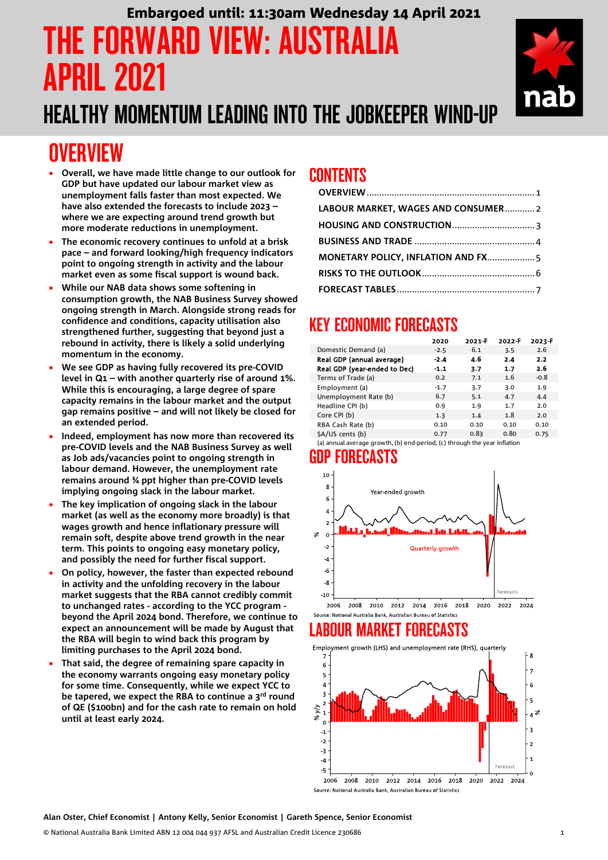# THE FORWARD VIEW: AUSTRALIA APRIL 2021 Embargoed until: 11:30am Wednesday 14 April 2021

# HEALTHY MOMENTUM LEADING INTO THE JOBKEEPER WIND-UP

# <span id="page-0-0"></span>**OVERVIEW**

- **Overall, we have made little change to our outlook for GDP but have updated our labour market view as unemployment falls faster than most expected. We have also extended the forecasts to include 2023 – where we are expecting around trend growth but more moderate reductions in unemployment.**
- **The economic recovery continues to unfold at a brisk pace – and forward looking/high frequency indicators point to ongoing strength in activity and the labour market even as some fiscal support is wound back.**
- **While our NAB data shows some softening in consumption growth, the NAB Business Survey showed ongoing strength in March. Alongside strong reads for confidence and conditions, capacity utilisation also strengthened further, suggesting that beyond just a rebound in activity, there is likely a solid underlying momentum in the economy.**
- **We see GDP as having fully recovered its pre-COVID level in Q1 – with another quarterly rise of around 1%. While this is encouraging, a large degree of spare capacity remains in the labour market and the output gap remains positive – and will not likely be closed for an extended period.**
- **Indeed, employment has now more than recovered its pre-COVID levels and the NAB Business Survey as well as Job ads/vacancies point to ongoing strength in labour demand. However, the unemployment rate remains around ¾ ppt higher than pre-COVID levels implying ongoing slack in the labour market.**
- **The key implication of ongoing slack in the labour market (as well as the economy more broadly) is that wages growth and hence inflationary pressure will remain soft, despite above trend growth in the near term. This points to ongoing easy monetary policy, and possibly the need for further fiscal support.**
- **On policy, however, the faster than expected rebound in activity and the unfolding recovery in the labour market suggests that the RBA cannot credibly commit to unchanged rates - according to the YCC program beyond the April 2024 bond. Therefore, we continue to expect an announcement will be made by August that the RBA will begin to wind back this program by limiting purchases to the April 2024 bond.**
- **That said, the degree of remaining spare capacity in the economy warrants ongoing easy monetary policy for some time. Consequently, while we expect YCC to be tapered, we expect the RBA to continue a 3rd round of QE (\$100bn) and for the cash rate to remain on hold until at least early 2024.**

## CONTENTS

| LABOUR MARKET, WAGES AND CONSUMER2 |  |
|------------------------------------|--|
|                                    |  |
|                                    |  |
|                                    |  |
|                                    |  |
|                                    |  |

# KEY ECONOMIC FORECASTS

|                              | 2020   | 2021-F | 2022-F | 2023-F |
|------------------------------|--------|--------|--------|--------|
| Domestic Demand (a)          | $-2.5$ | 6.1    | 3.5    | 2.6    |
| Real GDP (annual average)    | $-2.4$ | 4.6    | 2.4    | 2.2    |
| Real GDP (year-ended to Dec) | $-1.1$ | 3.7    | 1.7    | 2.6    |
| Terms of Trade (a)           | 0.2    | 7.1    | 1.6    | $-0.8$ |
| Employment (a)               | $-1.7$ | 3.7    | 3.0    | 1.9    |
| Unemployment Rate (b)        | 6.7    | 5.1    | 4.7    | 4.4    |
| Headline CPI (b)             | 0.9    | 1.9    | 1.7    | 2.0    |
| Core CPI (b)                 | 1.3    | 1.4    | 1.8    | 2.0    |
| RBA Cash Rate (b)            | 0.10   | 0.10   | 0.10   | 0.10   |
| \$A/US cents (b)             | 0.77   | 0.83   | 0.80   | 0.75   |

(a) annual average growth, (b) end-period, (c) through the year inflation

## GDP FORECASTS



### Source: National Australia Bank, Australian Bureau of Statistics LABOUR MARKET FORECASTS

Employment growth (LHS) and unemployment rate (RHS), quarterly



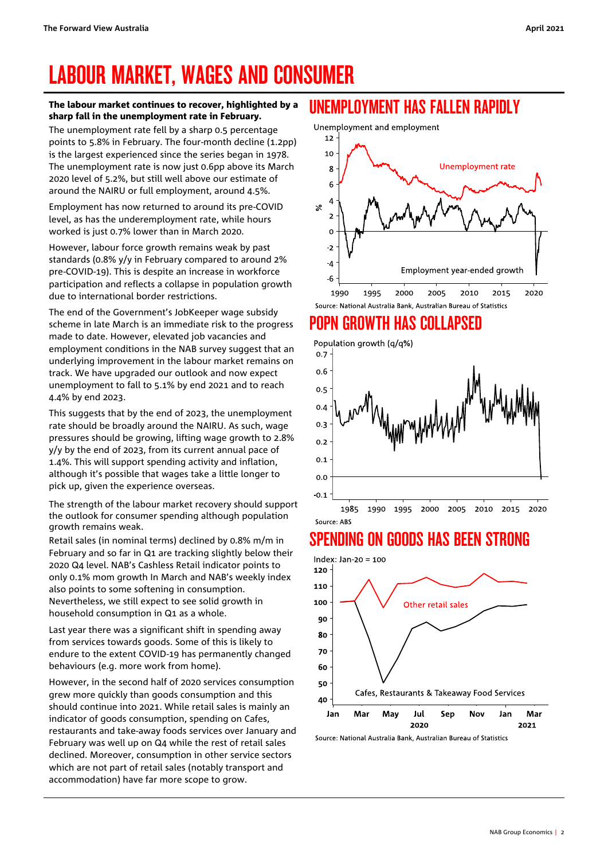# <span id="page-1-0"></span>LABOUR MARKET, WAGES AND CONSUMER

#### The labour market continues to recover, highlighted by a sharp fall in the unemployment rate in February.

The unemployment rate fell by a sharp 0.5 percentage points to 5.8% in February. The four-month decline (1.2pp) is the largest experienced since the series began in 1978. The unemployment rate is now just 0.6pp above its March 2020 level of 5.2%, but still well above our estimate of around the NAIRU or full employment, around 4.5%.

Employment has now returned to around its pre-COVID level, as has the underemployment rate, while hours worked is just 0.7% lower than in March 2020.

However, labour force growth remains weak by past standards (0.8% y/y in February compared to around 2% pre-COVID-19). This is despite an increase in workforce participation and reflects a collapse in population growth due to international border restrictions.

The end of the Government's JobKeeper wage subsidy scheme in late March is an immediate risk to the progress made to date. However, elevated job vacancies and employment conditions in the NAB survey suggest that an underlying improvement in the labour market remains on track. We have upgraded our outlook and now expect unemployment to fall to 5.1% by end 2021 and to reach 4.4% by end 2023.

This suggests that by the end of 2023, the unemployment rate should be broadly around the NAIRU. As such, wage pressures should be growing, lifting wage growth to 2.8% y/y by the end of 2023, from its current annual pace of 1.4%. This will support spending activity and inflation, although it's possible that wages take a little longer to pick up, given the experience overseas.

The strength of the labour market recovery should support the outlook for consumer spending although population growth remains weak.

Retail sales (in nominal terms) declined by 0.8% m/m in February and so far in Q1 are tracking slightly below their 2020 Q4 level. NAB's Cashless Retail indicator points to only 0.1% mom growth In March and NAB's weekly index also points to some softening in consumption. Nevertheless, we still expect to see solid growth in household consumption in Q1 as a whole.

Last year there was a significant shift in spending away from services towards goods. Some of this is likely to endure to the extent COVID-19 has permanently changed behaviours (e.g. more work from home).

However, in the second half of 2020 services consumption grew more quickly than goods consumption and this should continue into 2021. While retail sales is mainly an indicator of goods consumption, spending on Cafes, restaurants and take-away foods services over January and February was well up on Q4 while the rest of retail sales declined. Moreover, consumption in other service sectors which are not part of retail sales (notably transport and accommodation) have far more scope to grow.

### UNEMPLOYMENT HAS FALLEN RAPIDLY

Unemployment and employment



## POPN GROWTH HAS COLLAPSED



# SPENDING ON GOODS HAS BEEN STRONG



Source: National Australia Bank, Australian Bureau of Statistics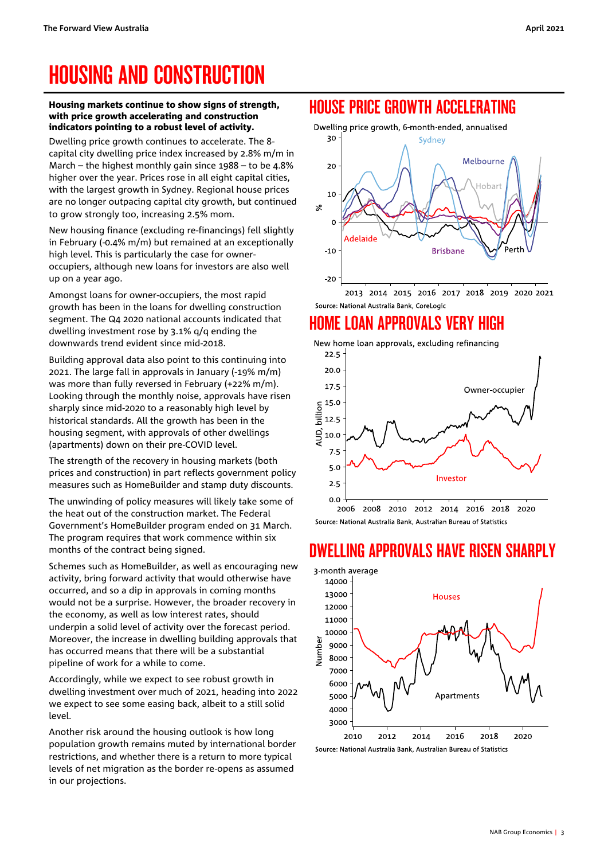# <span id="page-2-0"></span>HOUSING AND CONSTRUCTION

#### Housing markets continue to show signs of strength, with price growth accelerating and construction indicators pointing to a robust level of activity.

Dwelling price growth continues to accelerate. The 8 capital city dwelling price index increased by 2.8% m/m in March – the highest monthly gain since 1988 – to be 4.8% higher over the year. Prices rose in all eight capital cities, with the largest growth in Sydney. Regional house prices are no longer outpacing capital city growth, but continued to grow strongly too, increasing 2.5% mom.

New housing finance (excluding re-financings) fell slightly in February (-0.4% m/m) but remained at an exceptionally high level. This is particularly the case for owneroccupiers, although new loans for investors are also well up on a year ago.

Amongst loans for owner-occupiers, the most rapid growth has been in the loans for dwelling construction segment. The Q4 2020 national accounts indicated that dwelling investment rose by 3.1% q/q ending the downwards trend evident since mid-2018.

Building approval data also point to this continuing into 2021. The large fall in approvals in January (-19% m/m) was more than fully reversed in February (+22% m/m). Looking through the monthly noise, approvals have risen sharply since mid-2020 to a reasonably high level by historical standards. All the growth has been in the housing segment, with approvals of other dwellings (apartments) down on their pre-COVID level.

The strength of the recovery in housing markets (both prices and construction) in part reflects government policy measures such as HomeBuilder and stamp duty discounts.

The unwinding of policy measures will likely take some of the heat out of the construction market. The Federal Government's HomeBuilder program ended on 31 March. The program requires that work commence within six months of the contract being signed.

Schemes such as HomeBuilder, as well as encouraging new activity, bring forward activity that would otherwise have occurred, and so a dip in approvals in coming months would not be a surprise. However, the broader recovery in the economy, as well as low interest rates, should underpin a solid level of activity over the forecast period. Moreover, the increase in dwelling building approvals that has occurred means that there will be a substantial pipeline of work for a while to come.

Accordingly, while we expect to see robust growth in dwelling investment over much of 2021, heading into 2022 we expect to see some easing back, albeit to a still solid level.

Another risk around the housing outlook is how long population growth remains muted by international border restrictions, and whether there is a return to more typical levels of net migration as the border re-opens as assumed in our projections.

## HOUSE PRICE GROWTH ACCELERATING



### Source: National Australia Bank, CoreLogic

### HOME LOAN APPROVALS VERY HIGH



Source: National Australia Bank, Australian Bureau of Statistics

### DWELLING APPROVALS HAVE RISEN SHARPLY

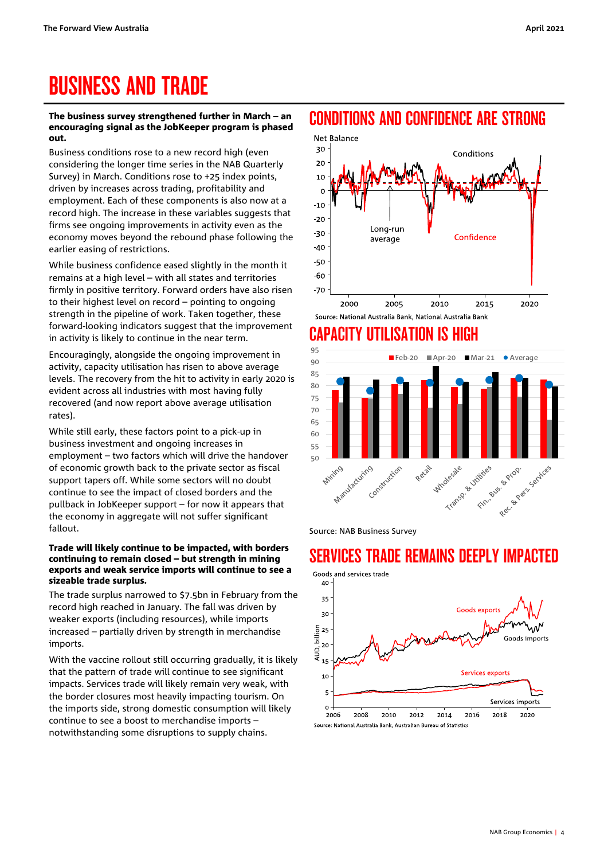# <span id="page-3-0"></span>BUSINESS AND TRADE

#### The business survey strengthened further in March – an encouraging signal as the JobKeeper program is phased out.

Business conditions rose to a new record high (even considering the longer time series in the NAB Quarterly Survey) in March. Conditions rose to +25 index points, driven by increases across trading, profitability and employment. Each of these components is also now at a record high. The increase in these variables suggests that firms see ongoing improvements in activity even as the economy moves beyond the rebound phase following the earlier easing of restrictions.

While business confidence eased slightly in the month it remains at a high level – with all states and territories firmly in positive territory. Forward orders have also risen to their highest level on record – pointing to ongoing strength in the pipeline of work. Taken together, these forward-looking indicators suggest that the improvement in activity is likely to continue in the near term.

Encouragingly, alongside the ongoing improvement in activity, capacity utilisation has risen to above average levels. The recovery from the hit to activity in early 2020 is evident across all industries with most having fully recovered (and now report above average utilisation rates).

While still early, these factors point to a pick-up in business investment and ongoing increases in employment – two factors which will drive the handover of economic growth back to the private sector as fiscal support tapers off. While some sectors will no doubt continue to see the impact of closed borders and the pullback in JobKeeper support – for now it appears that the economy in aggregate will not suffer significant fallout.

#### Trade will likely continue to be impacted, with borders continuing to remain closed – but strength in mining exports and weak service imports will continue to see a sizeable trade surplus.

The trade surplus narrowed to \$7.5bn in February from the record high reached in January. The fall was driven by weaker exports (including resources), while imports increased – partially driven by strength in merchandise imports.

With the vaccine rollout still occurring gradually, it is likely that the pattern of trade will continue to see significant impacts. Services trade will likely remain very weak, with the border closures most heavily impacting tourism. On the imports side, strong domestic consumption will likely continue to see a boost to merchandise imports – notwithstanding some disruptions to supply chains.

### CONDITIONS AND CONFIDENCE ARE STRONG



# CAPACITY UTILISATION IS HIGH



Source: NAB Business Survey

# SERVICES TRADE REMAINS DEEPLY IMPACTED

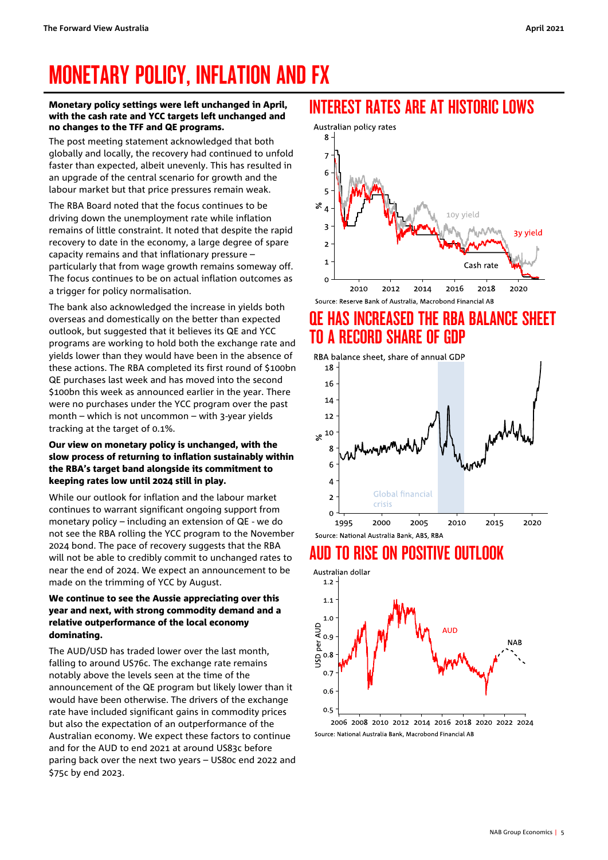# <span id="page-4-0"></span>MONETARY POLICY, INFLATION AND FX

#### Monetary policy settings were left unchanged in April, with the cash rate and YCC targets left unchanged and no changes to the TFF and QE programs.

The post meeting statement acknowledged that both globally and locally, the recovery had continued to unfold faster than expected, albeit unevenly. This has resulted in an upgrade of the central scenario for growth and the labour market but that price pressures remain weak.

The RBA Board noted that the focus continues to be driving down the unemployment rate while inflation remains of little constraint. It noted that despite the rapid recovery to date in the economy, a large degree of spare capacity remains and that inflationary pressure – particularly that from wage growth remains someway off. The focus continues to be on actual inflation outcomes as a trigger for policy normalisation.

The bank also acknowledged the increase in yields both overseas and domestically on the better than expected outlook, but suggested that it believes its QE and YCC programs are working to hold both the exchange rate and yields lower than they would have been in the absence of these actions. The RBA completed its first round of \$100bn QE purchases last week and has moved into the second \$100bn this week as announced earlier in the year. There were no purchases under the YCC program over the past month – which is not uncommon – with 3-year yields tracking at the target of 0.1%.

### Our view on monetary policy is unchanged, with the slow process of returning to inflation sustainably within the RBA's target band alongside its commitment to keeping rates low until 2024 still in play.

While our outlook for inflation and the labour market continues to warrant significant ongoing support from monetary policy – including an extension of QE - we do not see the RBA rolling the YCC program to the November 2024 bond. The pace of recovery suggests that the RBA will not be able to credibly commit to unchanged rates to near the end of 2024. We expect an announcement to be made on the trimming of YCC by August.

### We continue to see the Aussie appreciating over this year and next, with strong commodity demand and a relative outperformance of the local economy dominating.

The AUD/USD has traded lower over the last month, falling to around US76c. The exchange rate remains notably above the levels seen at the time of the announcement of the QE program but likely lower than it would have been otherwise. The drivers of the exchange rate have included significant gains in commodity prices but also the expectation of an outperformance of the Australian economy. We expect these factors to continue and for the AUD to end 2021 at around US83c before paring back over the next two years – US80c end 2022 and \$75c by end 2023.

## INTEREST RATES ARE AT HISTORIC LOWS



## QE HAS INCREASED THE RBA BALANCE SHEET TO A RECORD SHARE OF GDP

RBA balance sheet, share of annual GDP



## AUD TO RISE ON POSITIVE OUTLOOK



<sup>2006 2008 2010 2012 2014 2016 2018 2020 2022 2024</sup> Source: National Australia Bank, Macrobond Financial AB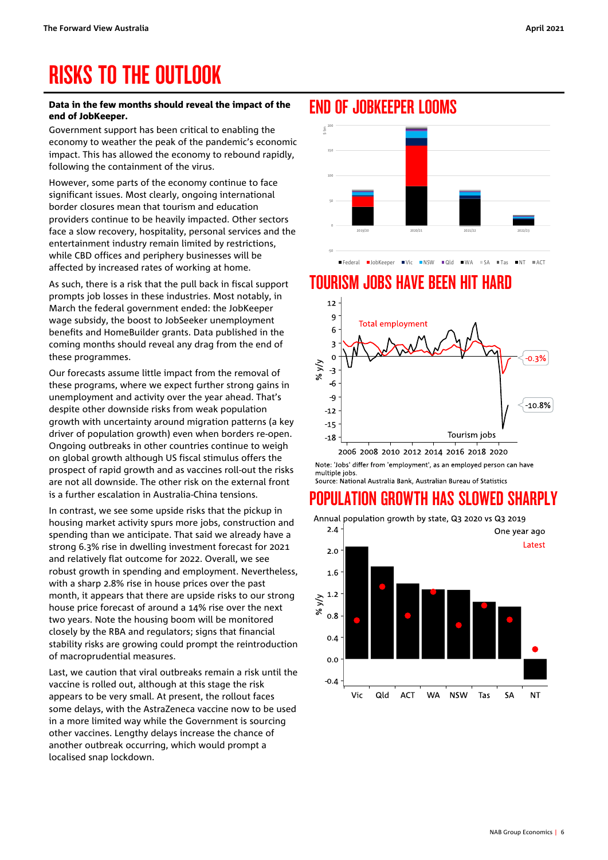# <span id="page-5-0"></span>RISKS TO THE OUTLOOK

#### Data in the few months should reveal the impact of the end of JobKeeper.

Government support has been critical to enabling the economy to weather the peak of the pandemic's economic impact. This has allowed the economy to rebound rapidly, following the containment of the virus.

However, some parts of the economy continue to face significant issues. Most clearly, ongoing international border closures mean that tourism and education providers continue to be heavily impacted. Other sectors face a slow recovery, hospitality, personal services and the entertainment industry remain limited by restrictions, while CBD offices and periphery businesses will be affected by increased rates of working at home.

As such, there is a risk that the pull back in fiscal support prompts job losses in these industries. Most notably, in March the federal government ended: the JobKeeper wage subsidy, the boost to JobSeeker unemployment benefits and HomeBuilder grants. Data published in the coming months should reveal any drag from the end of these programmes.

Our forecasts assume little impact from the removal of these programs, where we expect further strong gains in unemployment and activity over the year ahead. That's despite other downside risks from weak population growth with uncertainty around migration patterns (a key driver of population growth) even when borders re-open. Ongoing outbreaks in other countries continue to weigh on global growth although US fiscal stimulus offers the prospect of rapid growth and as vaccines roll-out the risks are not all downside. The other risk on the external front is a further escalation in Australia-China tensions.

In contrast, we see some upside risks that the pickup in housing market activity spurs more jobs, construction and spending than we anticipate. That said we already have a strong 6.3% rise in dwelling investment forecast for 2021 and relatively flat outcome for 2022. Overall, we see robust growth in spending and employment. Nevertheless, with a sharp 2.8% rise in house prices over the past month, it appears that there are upside risks to our strong house price forecast of around a 14% rise over the next two years. Note the housing boom will be monitored closely by the RBA and regulators; signs that financial stability risks are growing could prompt the reintroduction of macroprudential measures.

Last, we caution that viral outbreaks remain a risk until the vaccine is rolled out, although at this stage the risk appears to be very small. At present, the rollout faces some delays, with the AstraZeneca vaccine now to be used in a more limited way while the Government is sourcing other vaccines. Lengthy delays increase the chance of another outbreak occurring, which would prompt a localised snap lockdown.





Federal JobKeeper Vic NSW Qld WA SA Tas NT ACT

## TOURISM JOBS HAVE BEEN HIT HARD



Note: 'Jobs' differ from 'employment', as an employed person can have multiple jobs. Source: National Australia Bank, Australian Bureau of Statistics

# POPULATION GROWTH HAS SLOWED SHARPLY

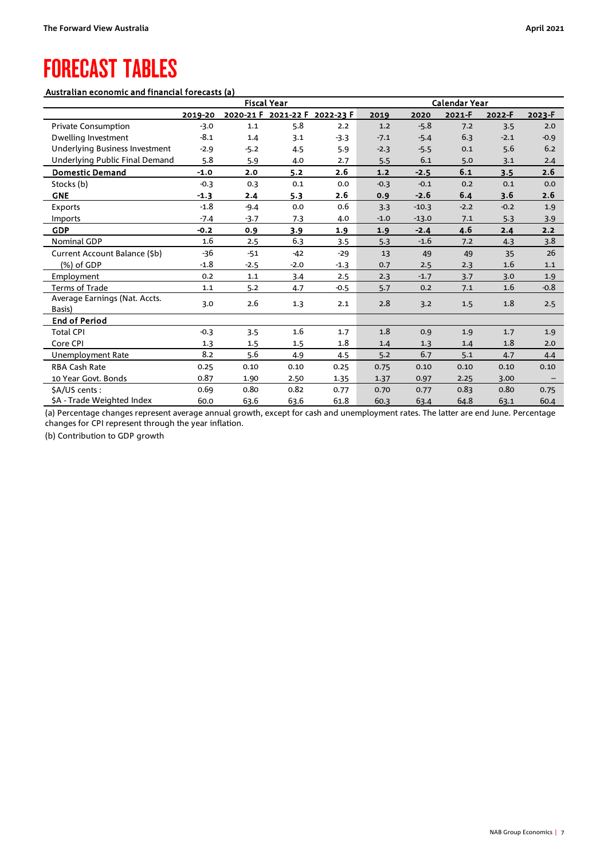# <span id="page-6-0"></span>FORECAST TABLES

### Australian economic and financial forecasts (a)

|                                       | <b>Fiscal Year</b> |         |        | Calendar Year                 |        |         |        |        |        |  |
|---------------------------------------|--------------------|---------|--------|-------------------------------|--------|---------|--------|--------|--------|--|
|                                       | 2019-20            |         |        | 2020-21 F 2021-22 F 2022-23 F | 2019   | 2020    | 2021-F | 2022-F | 2023-F |  |
| <b>Private Consumption</b>            | $-3.0$             | $1.1\,$ | 5.8    | 2.2                           | 1.2    | $-5.8$  | 7.2    | 3.5    | 2.0    |  |
| Dwelling Investment                   | $-8.1$             | 1.4     | 3.1    | $-3.3$                        | $-7.1$ | $-5.4$  | 6.3    | $-2.1$ | $-0.9$ |  |
| <b>Underlying Business Investment</b> | $-2.9$             | $-5.2$  | 4.5    | 5.9                           | $-2.3$ | $-5.5$  | 0.1    | 5.6    | 6.2    |  |
| Underlying Public Final Demand        | 5.8                | 5.9     | 4.0    | 2.7                           | 5.5    | 6.1     | 5.0    | 3.1    | 2.4    |  |
| <b>Domestic Demand</b>                | $-1.0$             | 2.0     | 5.2    | 2.6                           | $1.2$  | $-2.5$  | 6.1    | 3.5    | 2.6    |  |
| Stocks (b)                            | $-0.3$             | 0.3     | 0.1    | 0.0                           | $-0.3$ | $-0.1$  | 0.2    | 0.1    | 0.0    |  |
| <b>GNE</b>                            | $-1.3$             | 2.4     | 5.3    | 2.6                           | 0.9    | $-2.6$  | 6.4    | 3.6    | 2.6    |  |
| <b>Exports</b>                        | $-1.8$             | $-9.4$  | 0.0    | 0.6                           | 3.3    | $-10.3$ | $-2.2$ | $-0.2$ | 1.9    |  |
| <b>Imports</b>                        | $-7.4$             | $-3.7$  | 7.3    | 4.0                           | $-1.0$ | $-13.0$ | 7.1    | 5.3    | 3.9    |  |
| <b>GDP</b>                            | $-0.2$             | 0.9     | 3.9    | 1.9                           | 1.9    | $-2.4$  | 4.6    | 2.4    | 2.2    |  |
| Nominal GDP                           | 1.6                | 2.5     | 6.3    | 3.5                           | 5.3    | $-1.6$  | 7.2    | 4.3    | 3.8    |  |
| Current Account Balance (\$b)         | $-36$              | $-51$   | $-42$  | $-29$                         | 13     | 49      | 49     | 35     | 26     |  |
| (%) of GDP                            | $-1.8$             | $-2.5$  | $-2.0$ | $-1.3$                        | 0.7    | 2.5     | 2.3    | 1.6    | 1.1    |  |
| Employment                            | 0.2                | 1.1     | 3.4    | 2.5                           | 2.3    | $-1.7$  | 3.7    | 3.0    | 1.9    |  |
| <b>Terms of Trade</b>                 | 1.1                | 5.2     | 4.7    | $-0.5$                        | 5.7    | 0.2     | 7.1    | 1.6    | $-0.8$ |  |
| Average Earnings (Nat. Accts.         | 3.0                | 2.6     | 1.3    | 2.1                           | 2.8    | 3.2     | 1.5    | 1.8    | 2.5    |  |
| Basis)                                |                    |         |        |                               |        |         |        |        |        |  |
| <b>End of Period</b>                  |                    |         |        |                               |        |         |        |        |        |  |
| <b>Total CPI</b>                      | $-0.3$             | 3.5     | 1.6    | 1.7                           | 1.8    | 0.9     | 1.9    | 1.7    | 1.9    |  |
| Core CPI                              | 1.3                | $1.5\,$ | 1.5    | 1.8                           | 1.4    | 1.3     | 1.4    | 1.8    | 2.0    |  |
| Unemployment Rate                     | 8.2                | 5.6     | 4.9    | 4.5                           | 5.2    | 6.7     | 5.1    | 4.7    | 4.4    |  |
| RBA Cash Rate                         | 0.25               | 0.10    | 0.10   | 0.25                          | 0.75   | 0.10    | 0.10   | 0.10   | 0.10   |  |
| 10 Year Govt. Bonds                   | 0.87               | 1.90    | 2.50   | 1.35                          | 1.37   | 0.97    | 2.25   | 3.00   |        |  |
| \$A/US cents:                         | 0.69               | 0.80    | 0.82   | 0.77                          | 0.70   | 0.77    | 0.83   | 0.80   | 0.75   |  |
| <b>SA - Trade Weighted Index</b>      | 60.0               | 63.6    | 63.6   | 61.8                          | 60.3   | 63.4    | 64.8   | 63.1   | 60.4   |  |

(a) Percentage changes represent average annual growth, except for cash and unemployment rates. The latter are end June. Percentage changes for CPI represent through the year inflation.

(b) Contribution to GDP growth